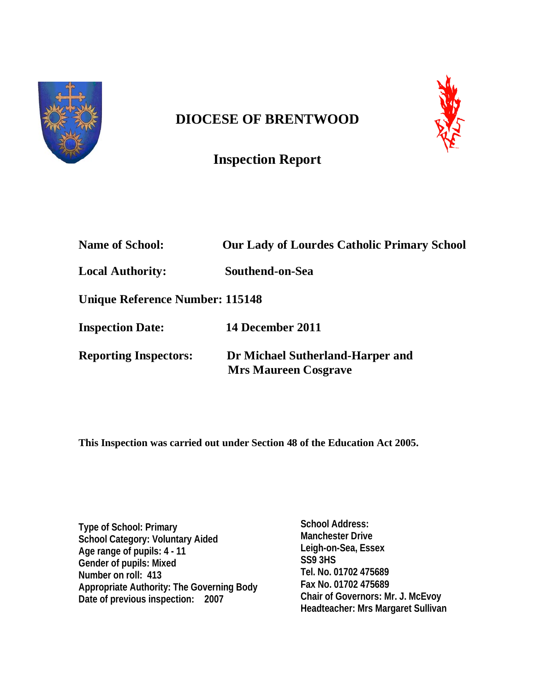

# **DIOCESE OF BRENTWOOD**



# **Inspection Report**

| <b>Name of School:</b>          | <b>Our Lady of Lourdes Catholic Primary School</b>              |
|---------------------------------|-----------------------------------------------------------------|
| <b>Local Authority:</b>         | Southend-on-Sea                                                 |
| Unique Reference Number: 115148 |                                                                 |
| <b>Inspection Date:</b>         | 14 December 2011                                                |
| <b>Reporting Inspectors:</b>    | Dr Michael Sutherland-Harper and<br><b>Mrs Maureen Cosgrave</b> |

**This Inspection was carried out under Section 48 of the Education Act 2005.**

**Type of School: Primary School Category: Voluntary Aided Age range of pupils: 4 - 11 Gender of pupils: Mixed Number on roll: 413 Appropriate Authority: The Governing Body Date of previous inspection: 2007**

**School Address: Manchester Drive Leigh-on-Sea, Essex SS9 3HS Tel. No. 01702 475689 Fax No. 01702 475689 Chair of Governors: Mr. J. McEvoy Headteacher: Mrs Margaret Sullivan**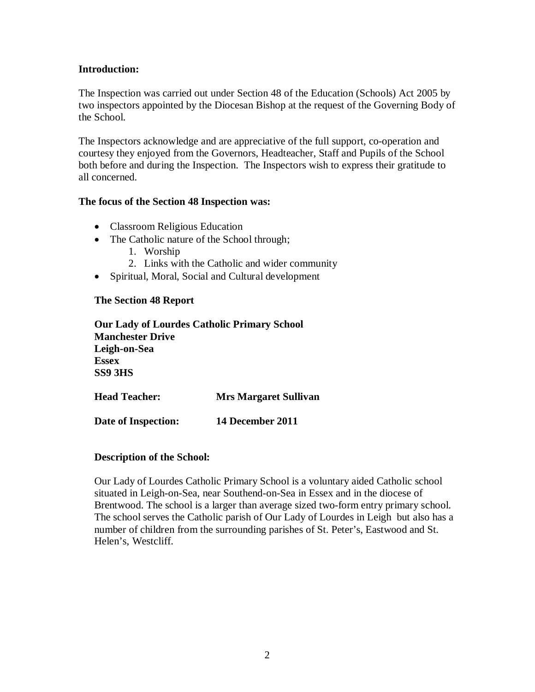#### **Introduction:**

The Inspection was carried out under Section 48 of the Education (Schools) Act 2005 by two inspectors appointed by the Diocesan Bishop at the request of the Governing Body of the School.

The Inspectors acknowledge and are appreciative of the full support, co-operation and courtesy they enjoyed from the Governors, Headteacher, Staff and Pupils of the School both before and during the Inspection. The Inspectors wish to express their gratitude to all concerned.

#### **The focus of the Section 48 Inspection was:**

- Classroom Religious Education
- The Catholic nature of the School through;
	- 1. Worship
	- 2. Links with the Catholic and wider community
- Spiritual, Moral, Social and Cultural development

#### **The Section 48 Report**

**Our Lady of Lourdes Catholic Primary School Manchester Drive Leigh-on-Sea Essex SS9 3HS**

**Head Teacher: Mrs Margaret Sullivan**

**Date of Inspection: 14 December 2011**

#### **Description of the School:**

Our Lady of Lourdes Catholic Primary School is a voluntary aided Catholic school situated in Leigh-on-Sea, near Southend-on-Sea in Essex and in the diocese of Brentwood. The school is a larger than average sized two-form entry primary school. The school serves the Catholic parish of Our Lady of Lourdes in Leigh but also has a number of children from the surrounding parishes of St. Peter's, Eastwood and St. Helen's, Westcliff.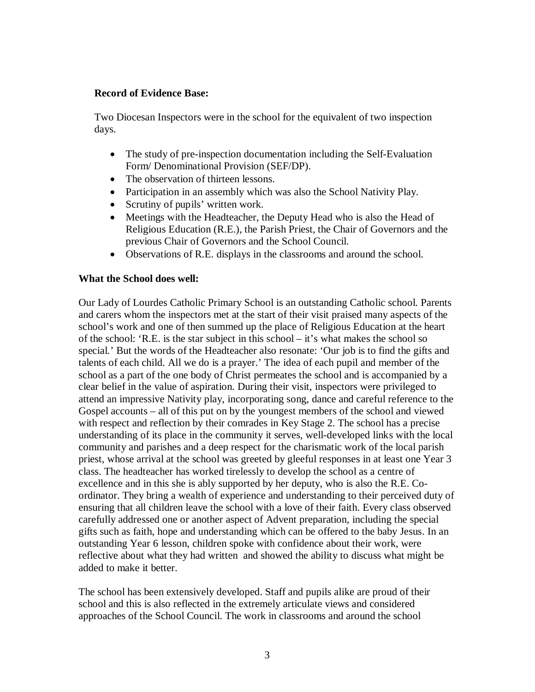#### **Record of Evidence Base:**

Two Diocesan Inspectors were in the school for the equivalent of two inspection days.

- The study of pre-inspection documentation including the Self-Evaluation Form/ Denominational Provision (SEF/DP).
- The observation of thirteen lessons.
- Participation in an assembly which was also the School Nativity Play.
- Scrutiny of pupils' written work.
- Meetings with the Headteacher, the Deputy Head who is also the Head of Religious Education (R.E.), the Parish Priest, the Chair of Governors and the previous Chair of Governors and the School Council.
- Observations of R.E. displays in the classrooms and around the school.

## **What the School does well:**

Our Lady of Lourdes Catholic Primary School is an outstanding Catholic school. Parents and carers whom the inspectors met at the start of their visit praised many aspects of the school's work and one of then summed up the place of Religious Education at the heart of the school: 'R.E. is the star subject in this school – it's what makes the school so special.' But the words of the Headteacher also resonate: 'Our job is to find the gifts and talents of each child. All we do is a prayer.' The idea of each pupil and member of the school as a part of the one body of Christ permeates the school and is accompanied by a clear belief in the value of aspiration. During their visit, inspectors were privileged to attend an impressive Nativity play, incorporating song, dance and careful reference to the Gospel accounts – all of this put on by the youngest members of the school and viewed with respect and reflection by their comrades in Key Stage 2. The school has a precise understanding of its place in the community it serves, well-developed links with the local community and parishes and a deep respect for the charismatic work of the local parish priest, whose arrival at the school was greeted by gleeful responses in at least one Year 3 class. The headteacher has worked tirelessly to develop the school as a centre of excellence and in this she is ably supported by her deputy, who is also the R.E. Coordinator. They bring a wealth of experience and understanding to their perceived duty of ensuring that all children leave the school with a love of their faith. Every class observed carefully addressed one or another aspect of Advent preparation, including the special gifts such as faith, hope and understanding which can be offered to the baby Jesus. In an outstanding Year 6 lesson, children spoke with confidence about their work, were reflective about what they had written and showed the ability to discuss what might be added to make it better.

The school has been extensively developed. Staff and pupils alike are proud of their school and this is also reflected in the extremely articulate views and considered approaches of the School Council. The work in classrooms and around the school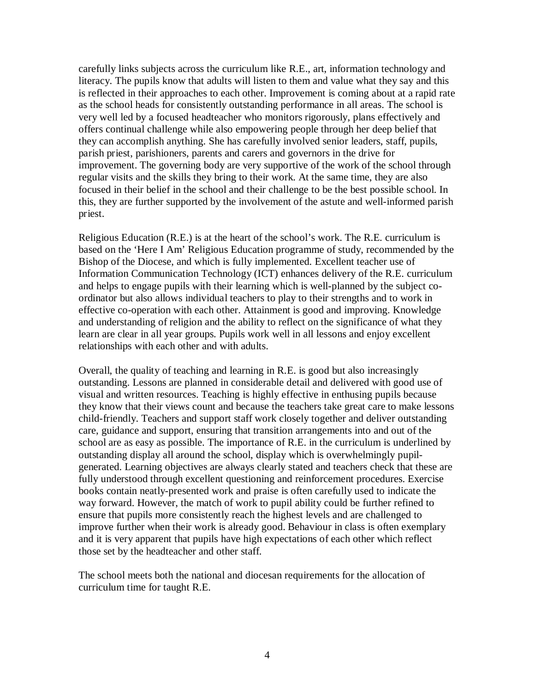carefully links subjects across the curriculum like R.E., art, information technology and literacy. The pupils know that adults will listen to them and value what they say and this is reflected in their approaches to each other. Improvement is coming about at a rapid rate as the school heads for consistently outstanding performance in all areas. The school is very well led by a focused headteacher who monitors rigorously, plans effectively and offers continual challenge while also empowering people through her deep belief that they can accomplish anything. She has carefully involved senior leaders, staff, pupils, parish priest, parishioners, parents and carers and governors in the drive for improvement. The governing body are very supportive of the work of the school through regular visits and the skills they bring to their work. At the same time, they are also focused in their belief in the school and their challenge to be the best possible school. In this, they are further supported by the involvement of the astute and well-informed parish priest.

Religious Education (R.E.) is at the heart of the school's work. The R.E. curriculum is based on the 'Here I Am' Religious Education programme of study, recommended by the Bishop of the Diocese, and which is fully implemented. Excellent teacher use of Information Communication Technology (ICT) enhances delivery of the R.E. curriculum and helps to engage pupils with their learning which is well-planned by the subject coordinator but also allows individual teachers to play to their strengths and to work in effective co-operation with each other. Attainment is good and improving. Knowledge and understanding of religion and the ability to reflect on the significance of what they learn are clear in all year groups. Pupils work well in all lessons and enjoy excellent relationships with each other and with adults.

Overall, the quality of teaching and learning in R.E. is good but also increasingly outstanding. Lessons are planned in considerable detail and delivered with good use of visual and written resources. Teaching is highly effective in enthusing pupils because they know that their views count and because the teachers take great care to make lessons child-friendly. Teachers and support staff work closely together and deliver outstanding care, guidance and support, ensuring that transition arrangements into and out of the school are as easy as possible. The importance of R.E. in the curriculum is underlined by outstanding display all around the school, display which is overwhelmingly pupilgenerated. Learning objectives are always clearly stated and teachers check that these are fully understood through excellent questioning and reinforcement procedures. Exercise books contain neatly-presented work and praise is often carefully used to indicate the way forward. However, the match of work to pupil ability could be further refined to ensure that pupils more consistently reach the highest levels and are challenged to improve further when their work is already good. Behaviour in class is often exemplary and it is very apparent that pupils have high expectations of each other which reflect those set by the headteacher and other staff.

The school meets both the national and diocesan requirements for the allocation of curriculum time for taught R.E.